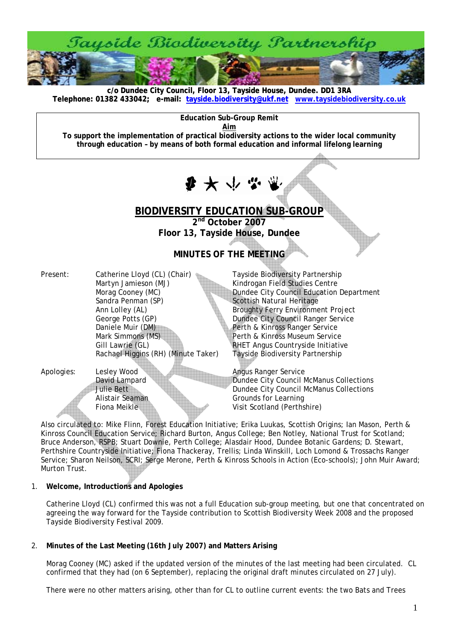

**c/o Dundee City Council, Floor 13, Tayside House, Dundee. DD1 3RA [Telephone: 01382 433042; e-mail: tayside.biodiversity@ukf.net](mailto:tayside.biodiversity@ukf.net) www.taysidebiodiversity.co.u[k](http://www.taysidebiodiversity.co.uk/)**

**Education Sub-Group Remit** 

**Aim**

**To support the implementation of practical biodiversity actions to the wider local community through education – by means of both formal education and informal lifelong learning** 

 $\mathbf{F} \star \psi$ 

# **BIODIVERSITY EDUCATION SUB-GROUP**

**2nd October 2007 Floor 13, Tayside House, Dundee** 

# **MINUTES OF THE MEETING**

| Present: | Catherine Lloyd (CL) (Chair)        |
|----------|-------------------------------------|
|          | Martyn Jamieson (MJ)                |
|          | Morag Cooney (MC)                   |
|          | Sandra Penman (SP)                  |
|          | Ann Lolley (AL)                     |
|          | George Potts (GP)                   |
|          | Daniele Muir (DM)                   |
|          | Mark Simmons (MS)                   |
|          | Gill Lawrie (GL)                    |
|          | Rachael Higgins (RH) (Minute Taker) |
|          |                                     |

Tayside Biodiversity Partnership Kindrogan Field Studies Centre Dundee City Council Education Department Scottish Natural Heritage **Broughty Ferry Environment Project** Dundee City Council Ranger Service Perth & Kinross Ranger Service Perth & Kinross Museum Service RHET Angus Countryside Initiative Tayside Biodiversity Partnership

Apologies: Lesley Wood Angus Ranger Service<br>
David Lampard **Angus Ranger Service** 

David Lampard Dundee City Council McManus Collections<br>Dundee City Council McManus Collections Julie Bett Dundee City Council McManus Collections<br>Alistair Seaman Grounds for Learning Grounds for Learning Fiona Meikle Visit Scotland (Perthshire)

Also circulated to: Mike Flinn, Forest Education Initiative; Erika Luukas, Scottish Origins; Ian Mason, Perth & Kinross Council Education Service; Richard Burton, Angus College; Ben Notley, National Trust for Scotland; Bruce Anderson, RSPB; Stuart Downie, Perth College; Alasdair Hood, Dundee Botanic Gardens; D. Stewart, Perthshire Countryside Initiative; Fiona Thackeray, Trellis; Linda Winskill, Loch Lomond & Trossachs Ranger Service; Sharon Neilson, SCRI; Serge Merone, Perth & Kinross Schools in Action (Eco-schools); John Muir Award; Murton Trust.

# 1. **Welcome, Introductions and Apologies**

Catherine Lloyd (CL) confirmed this was not a full Education sub-group meeting, but one that concentrated on agreeing the way forward for the Tayside contribution to Scottish Biodiversity Week 2008 and the proposed Tayside Biodiversity Festival 2009.

# 2. **Minutes of the Last Meeting (16th July 2007) and Matters Arising**

Morag Cooney (MC) asked if the updated version of the minutes of the last meeting had been circulated. CL confirmed that they had (on 6 September), replacing the original draft minutes circulated on 27 July).

There were no other matters arising, other than for CL to outline current events: the two Bats and Trees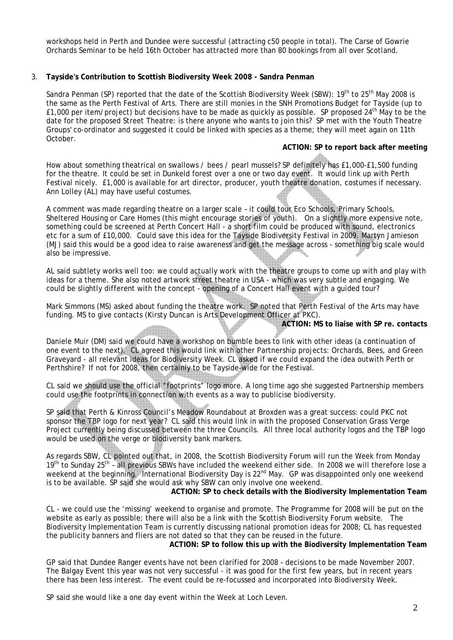workshops held in Perth and Dundee were successful (attracting c50 people in total). The Carse of Gowrie Orchards Seminar to be held 16th October has attracted more than 80 bookings from all over Scotland.

## 3. **Tayside's Contribution to Scottish Biodiversity Week 2008 - Sandra Penman**

Sandra Penman (SP) reported that the date of the Scottish Biodiversity Week (SBW): 19<sup>th</sup> to 25<sup>th</sup> May 2008 is the same as the Perth Festival of Arts. There are still monies in the SNH Promotions Budget for Tayside (up to £1,000 per item/project) but decisions have to be made as quickly as possible. SP proposed 24th May to be the date for the proposed Street Theatre: is there anyone who wants to join this? SP met with the Youth Theatre Groups' co-ordinator and suggested it could be linked with species as a theme; they will meet again on 11th October.

#### **ACTION: SP to report back after meeting**

How about something theatrical on swallows / bees / pearl mussels? SP definitely has £1,000-£1,500 funding for the theatre. It could be set in Dunkeld forest over a one or two day event. It would link up with Perth Festival nicely. £1,000 is available for art director, producer, youth theatre donation, costumes if necessary. Ann Lolley (AL) may have useful costumes.

A comment was made regarding theatre on a larger scale – it could tour Eco Schools, Primary Schools, Sheltered Housing or Care Homes (this might encourage stories of youth). On a slightly more expensive note, something could be screened at Perth Concert Hall - a short film could be produced with sound, electronics etc for a sum of £10,000. Could save this idea for the Tayside Biodiversity Festival in 2009. Martyn Jamieson (MJ) said this would be a good idea to raise awareness and get the message across - something big scale would also be impressive.

AL said subtlety works well too: we could actually work with the theatre groups to come up with and play with ideas for a theme. She also noted artwork street theatre in USA - which was very subtle and engaging. We could be slightly different with the concept - opening of a Concert Hall event with a guided tour?

Mark Simmons (MS) asked about funding the theatre work. SP noted that Perth Festival of the Arts may have funding. MS to give contacts (Kirsty Duncan is Arts Development Officer at PKC).

**ACTION: MS to liaise with SP re. contacts** 

Daniele Muir (DM) said we could have a workshop on bumble bees to link with other ideas (a continuation of one event to the next). CL agreed this would link with other Partnership projects: Orchards, Bees, and Green Graveyard - all relevant ideas for Biodiversity Week. CL asked if we could expand the idea outwith Perth or Perthshire? If not for 2008, then certainly to be Tayside-wide for the Festival.

CL said we should use the official "footprints" logo more. A long time ago she suggested Partnership members could use the footprints in connection with events as a way to publicise biodiversity.

SP said that Perth & Kinross Council's Meadow Roundabout at Broxden was a great success: could PKC not sponsor the TBP logo for next year? CL said this would link in with the proposed Conservation Grass Verge Project currently being discussed between the three Councils. All three local authority logos and the TBP logo would be used on the verge or biodiversity bank markers.

As regards SBW, CL pointed out that, in 2008, the Scottish Biodiversity Forum will run the Week from Monday 19<sup>th</sup> to Sunday 25<sup>th</sup> – all previous SBWs have included the weekend either side. In 2008 we will therefore lose a weekend at the beginning. International Biodiversity Day is 22<sup>nd</sup> May. GP was disappointed only one weekend is to be available. SP said she would ask why SBW can only involve one weekend.

## **ACTION: SP to check details with the Biodiversity Implementation Team**

CL - we could use the 'missing' weekend to organise and promote. The Programme for 2008 will be put on the website as early as possible; there will also be a link with the Scottish Biodiversity Forum website. The Biodiversity Implementation Team is currently discussing national promotion ideas for 2008; CL has requested the publicity banners and fliers are not dated so that they can be reused in the future.

**ACTION: SP to follow this up with the Biodiversity Implementation Team** 

GP said that Dundee Ranger events have not been clarified for 2008 – decisions to be made November 2007. The Balgay Event this year was not very successful - it was good for the first few years, but in recent years there has been less interest. The event could be re-focussed and incorporated into Biodiversity Week.

SP said she would like a one day event within the Week at Loch Leven.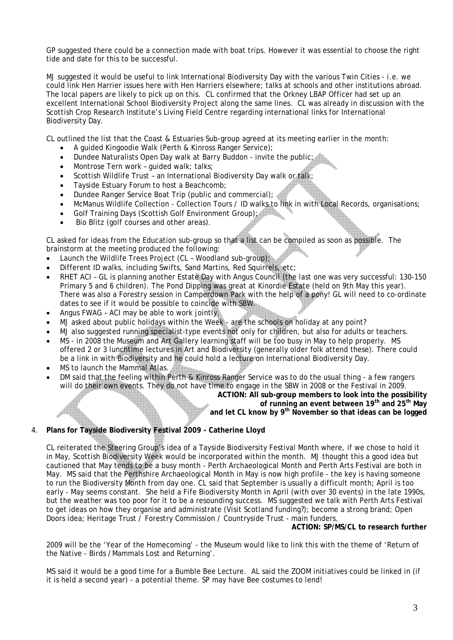GP suggested there could be a connection made with boat trips. However it was essential to choose the right tide and date for this to be successful.

MJ suggested it would be useful to link International Biodiversity Day with the various Twin Cities - i.e. we could link Hen Harrier issues here with Hen Harriers elsewhere; talks at schools and other institutions abroad. The local papers are likely to pick up on this. CL confirmed that the Orkney LBAP Officer had set up an excellent International School Biodiversity Project along the same lines. CL was already in discussion with the Scottish Crop Research Institute's Living Field Centre regarding international links for International Biodiversity Day.

CL outlined the list that the Coast & Estuaries Sub-group agreed at its meeting earlier in the month:

- A guided Kingoodie Walk (Perth & Kinross Ranger Service);
- Dundee Naturalists Open Day walk at Barry Buddon invite the public;
- Montrose Tern work quided walk; talks;
- Scottish Wildlife Trust an International Biodiversity Day walk or talk;
- Tayside Estuary Forum to host a Beachcomb;
- Dundee Ranger Service Boat Trip (public and commercial);
- McManus Wildlife Collection Collection Tours / ID walks to link in with Local Records, organisations;
- Golf Training Days (Scottish Golf Environment Group);
- Bio Blitz (golf courses and other areas).

CL asked for ideas from the Education sub-group so that a list can be compiled as soon as possible. The brainstorm at the meeting produced the following:

- Launch the Wildlife Trees Project (CL Woodland sub-group);
- Different ID walks, including Swifts, Sand Martins, Red Squirrels, etc;
- RHET ACI GL is planning another Estate Day with Angus Council (the last one was very successful: 130-150 Primary 5 and 6 children). The Pond Dipping was great at Kinordie Estate (held on 9th May this year). There was also a Forestry session in Camperdown Park with the help of a pony! GL will need to co-ordinate dates to see if it would be possible to coincide with SBW.
- Angus FWAG ACI may be able to work jointly.
- MJ asked about public holidays within the Week are the schools on holiday at any point?
- MJ also suggested running specialist-type events not only for children, but also for adults or teachers.
- MS in 2008 the Museum and Art Gallery learning staff will be too busy in May to help properly. MS offered 2 or 3 lunchtime lectures in Art and Biodiversity (generally older folk attend these). There could be a link in with Biodiversity and he could hold a lecture on International Biodiversity Day.
- MS to launch the Mammal Atlas.
- DM said that the feeling within Perth & Kinross Ranger Service was to do the usual thing a few rangers will do their own events. They do not have time to engage in the SBW in 2008 or the Festival in 2009.

**ACTION: All sub-group members to look into the possibility** 

**of running an event between 19th and 25th May** 

**and let CL know by 9th November so that ideas can be logged** 

# 4. **Plans for Tayside Biodiversity Festival 2009 - Catherine Lloyd**

CL reiterated the Steering Group's idea of a Tayside Biodiversity Festival Month where, if we chose to hold it in May, Scottish Biodiversity Week would be incorporated within the month. MJ thought this a good idea but cautioned that May tends to be a busy month - Perth Archaeological Month and Perth Arts Festival are both in May. MS said that the Perthshire Archaeological Month in May is now high profile - the key is having someone to run the Biodiversity Month from day one. CL said that September is usually a difficult month; April is too early - May seems constant. She held a Fife Biodiversity Month in April (with over 30 events) in the late 1990s, but the weather was too poor for it to be a resounding success. MS suggested we talk with Perth Arts Festival to get ideas on how they organise and administrate (Visit Scotland funding?); become a strong brand; Open Doors idea; Heritage Trust / Forestry Commission / Countryside Trust - main funders.

**ACTION: SP/MS/CL to research further** 

2009 will be the 'Year of the Homecoming' - the Museum would like to link this with the theme of 'Return of the Native - Birds /Mammals Lost and Returning'.

MS said it would be a good time for a Bumble Bee Lecture. AL said the ZOOM initiatives could be linked in (if it is held a second year) - a potential theme. SP may have Bee costumes to lend!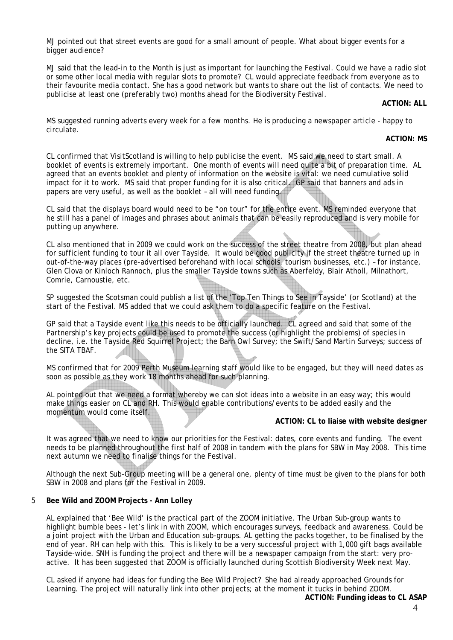MJ pointed out that street events are good for a small amount of people. What about bigger events for a bigger audience?

MJ said that the lead-in to the Month is just as important for launching the Festival. Could we have a radio slot or some other local media with regular slots to promote? CL would appreciate feedback from everyone as to their favourite media contact. She has a good network but wants to share out the list of contacts. We need to publicise at least one (preferably two) months ahead for the Biodiversity Festival.

#### **ACTION: ALL**

MS suggested running adverts every week for a few months. He is producing a newspaper article - happy to circulate.

#### **ACTION: MS**

CL confirmed that VisitScotland is willing to help publicise the event. MS said we need to start small. A booklet of events is extremely important. One month of events will need quite a bit of preparation time. AL agreed that an events booklet and plenty of information on the website is vital: we need cumulative solid impact for it to work. MS said that proper funding for it is also critical. GP said that banners and ads in papers are very useful, as well as the booklet – all will need funding.

CL said that the displays board would need to be "on tour" for the entire event. MS reminded everyone that he still has a panel of images and phrases about animals that can be easily reproduced and is very mobile for putting up anywhere.

CL also mentioned that in 2009 we could work on the success of the street theatre from 2008, but plan ahead for sufficient funding to tour it all over Tayside. It would be good publicity if the street theatre turned up in out-of-the-way places (pre-advertised beforehand with local schools, tourism businesses, etc.) – for instance, Glen Clova or Kinloch Rannoch, plus the smaller Tayside towns such as Aberfeldy, Blair Atholl, Milnathort, Comrie, Carnoustie, etc.

SP suggested the Scotsman could publish a list of the 'Top Ten Things to See in Tayside' (or Scotland) at the start of the Festival. MS added that we could ask them to do a specific feature on the Festival.

GP said that a Tayside event like this needs to be officially launched. CL agreed and said that some of the Partnership's key projects could be used to promote the success (or highlight the problems) of species in decline, i.e. the Tayside Red Squirrel Project; the Barn Owl Survey; the Swift/Sand Martin Surveys; success of the SITA TBAF.

MS confirmed that for 2009 Perth Museum learning staff would like to be engaged, but they will need dates as soon as possible as they work 18 months ahead for such planning.

AL pointed out that we need a format whereby we can slot ideas into a website in an easy way; this would make things easier on CL and RH. This would enable contributions/events to be added easily and the momentum would come itself.

# **ACTION: CL to liaise with website designer**

It was agreed that we need to know our priorities for the Festival: dates, core events and funding. The event needs to be planned throughout the first half of 2008 in tandem with the plans for SBW in May 2008. This time next autumn we need to finalise things for the Festival.

Although the next Sub-Group meeting will be a general one, plenty of time must be given to the plans for both SBW in 2008 and plans for the Festival in 2009.

# 5 **Bee Wild and ZOOM Projects - Ann Lolley**

AL explained that 'Bee Wild' is the practical part of the ZOOM initiative. The Urban Sub-group wants to highlight bumble bees - let's link in with ZOOM, which encourages surveys, feedback and awareness. Could be a joint project with the Urban and Education sub-groups. AL getting the packs together, to be finalised by the end of year. RH can help with this. This is likely to be a very successful project with 1,000 gift bags available Tayside-wide. SNH is funding the project and there will be a newspaper campaign from the start: very proactive. It has been suggested that ZOOM is officially launched during Scottish Biodiversity Week next May.

CL asked if anyone had ideas for funding the Bee Wild Project? She had already approached Grounds for Learning. The project will naturally link into other projects; at the moment it tucks in behind ZOOM.

**ACTION: Funding ideas to CL ASAP**